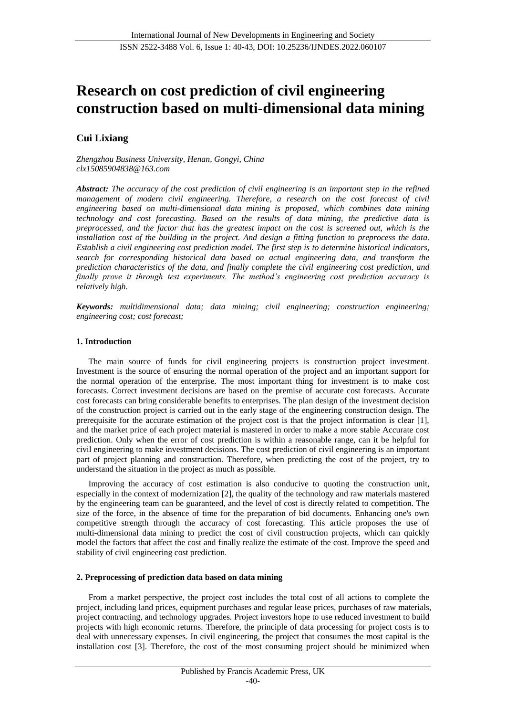# **Research on cost prediction of civil engineering construction based on multi-dimensional data mining**

## **Cui Lixiang**

*Zhengzhou Business University, Henan, Gongyi, China clx15085904838@163.com*

*Abstract: The accuracy of the cost prediction of civil engineering is an important step in the refined management of modern civil engineering. Therefore, a research on the cost forecast of civil engineering based on multi-dimensional data mining is proposed, which combines data mining technology and cost forecasting. Based on the results of data mining, the predictive data is preprocessed, and the factor that has the greatest impact on the cost is screened out, which is the installation cost of the building in the project. And design a fitting function to preprocess the data. Establish a civil engineering cost prediction model. The first step is to determine historical indicators, search for corresponding historical data based on actual engineering data, and transform the prediction characteristics of the data, and finally complete the civil engineering cost prediction, and finally prove it through test experiments. The method's engineering cost prediction accuracy is relatively high.*

*Keywords: multidimensional data; data mining; civil engineering; construction engineering; engineering cost; cost forecast;*

## **1. Introduction**

The main source of funds for civil engineering projects is construction project investment. Investment is the source of ensuring the normal operation of the project and an important support for the normal operation of the enterprise. The most important thing for investment is to make cost forecasts. Correct investment decisions are based on the premise of accurate cost forecasts. Accurate cost forecasts can bring considerable benefits to enterprises. The plan design of the investment decision of the construction project is carried out in the early stage of the engineering construction design. The prerequisite for the accurate estimation of the project cost is that the project information is clear [1], and the market price of each project material is mastered in order to make a more stable Accurate cost prediction. Only when the error of cost prediction is within a reasonable range, can it be helpful for civil engineering to make investment decisions. The cost prediction of civil engineering is an important part of project planning and construction. Therefore, when predicting the cost of the project, try to understand the situation in the project as much as possible.

Improving the accuracy of cost estimation is also conducive to quoting the construction unit, especially in the context of modernization [2], the quality of the technology and raw materials mastered by the engineering team can be guaranteed, and the level of cost is directly related to competition. The size of the force, in the absence of time for the preparation of bid documents. Enhancing one's own competitive strength through the accuracy of cost forecasting. This article proposes the use of multi-dimensional data mining to predict the cost of civil construction projects, which can quickly model the factors that affect the cost and finally realize the estimate of the cost. Improve the speed and stability of civil engineering cost prediction.

## **2. Preprocessing of prediction data based on data mining**

From a market perspective, the project cost includes the total cost of all actions to complete the project, including land prices, equipment purchases and regular lease prices, purchases of raw materials, project contracting, and technology upgrades. Project investors hope to use reduced investment to build projects with high economic returns. Therefore, the principle of data processing for project costs is to deal with unnecessary expenses. In civil engineering, the project that consumes the most capital is the installation cost [3]. Therefore, the cost of the most consuming project should be minimized when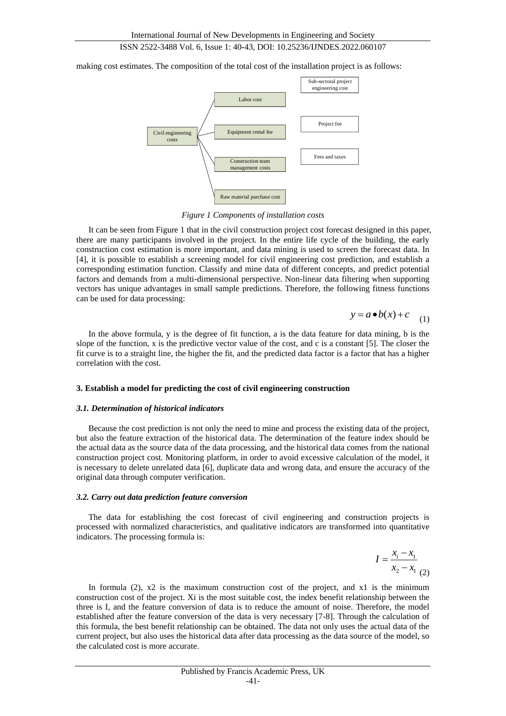## ISSN 2522-3488 Vol. 6, Issue 1: 40-43, DOI: 10.25236/IJNDES.2022.060107

making cost estimates. The composition of the total cost of the installation project is as follows:



*Figure 1 Components of installation costs*

It can be seen from Figure 1 that in the civil construction project cost forecast designed in this paper, there are many participants involved in the project. In the entire life cycle of the building, the early construction cost estimation is more important, and data mining is used to screen the forecast data. In [4], it is possible to establish a screening model for civil engineering cost prediction, and establish a corresponding estimation function. Classify and mine data of different concepts, and predict potential factors and demands from a multi-dimensional perspective. Non-linear data filtering when supporting vectors has unique advantages in small sample predictions. Therefore, the following fitness functions can be used for data processing:

$$
y = a \bullet b(x) + c \quad (1)
$$

In the above formula, y is the degree of fit function, a is the data feature for data mining, b is the slope of the function, x is the predictive vector value of the cost, and c is a constant [5]. The closer the fit curve is to a straight line, the higher the fit, and the predicted data factor is a factor that has a higher correlation with the cost.

#### **3. Establish a model for predicting the cost of civil engineering construction**

#### *3.1. Determination of historical indicators*

Because the cost prediction is not only the need to mine and process the existing data of the project, but also the feature extraction of the historical data. The determination of the feature index should be the actual data as the source data of the data processing, and the historical data comes from the national construction project cost. Monitoring platform, in order to avoid excessive calculation of the model, it is necessary to delete unrelated data [6], duplicate data and wrong data, and ensure the accuracy of the original data through computer verification.

### *3.2. Carry out data prediction feature conversion*

The data for establishing the cost forecast of civil engineering and construction projects is processed with normalized characteristics, and qualitative indicators are transformed into quantitative indicators. The processing formula is:

$$
I = \frac{x_i - x_1}{x_2 - x_1} \tag{2}
$$

In formula (2),  $x^2$  is the maximum construction cost of the project, and  $x^1$  is the minimum construction cost of the project. Xi is the most suitable cost, the index benefit relationship between the three is I, and the feature conversion of data is to reduce the amount of noise. Therefore, the model established after the feature conversion of the data is very necessary [7-8]. Through the calculation of this formula, the best benefit relationship can be obtained. The data not only uses the actual data of the current project, but also uses the historical data after data processing as the data source of the model, so the calculated cost is more accurate.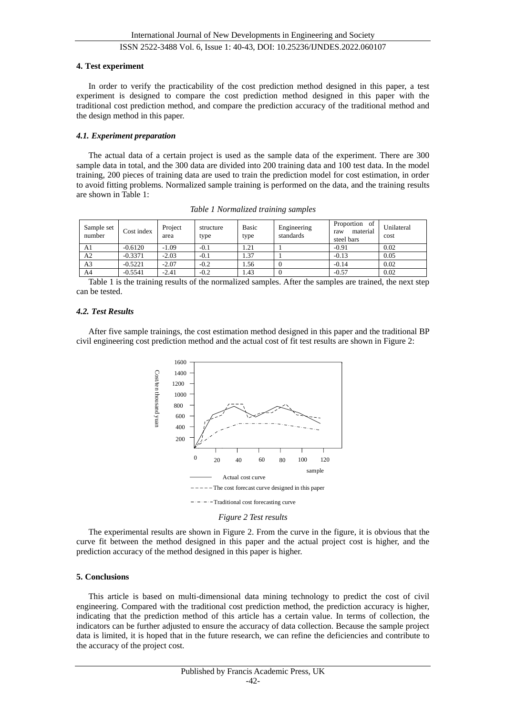## ISSN 2522-3488 Vol. 6, Issue 1: 40-43, DOI: 10.25236/IJNDES.2022.060107

#### **4. Test experiment**

In order to verify the practicability of the cost prediction method designed in this paper, a test experiment is designed to compare the cost prediction method designed in this paper with the traditional cost prediction method, and compare the prediction accuracy of the traditional method and the design method in this paper.

#### *4.1. Experiment preparation*

The actual data of a certain project is used as the sample data of the experiment. There are 300 sample data in total, and the 300 data are divided into 200 training data and 100 test data. In the model training, 200 pieces of training data are used to train the prediction model for cost estimation, in order to avoid fitting problems. Normalized sample training is performed on the data, and the training results are shown in Table 1:

| Sample set<br>number | Cost index | Project<br>area | structure<br>type | Basic<br>type | Engineering<br>standards | Proportion of<br>material<br>raw<br>steel bars | Unilateral<br>cost |
|----------------------|------------|-----------------|-------------------|---------------|--------------------------|------------------------------------------------|--------------------|
| A1                   | $-0.6120$  | $-1.09$         | $-0.1$            | 1.21          |                          | $-0.91$                                        | 0.02               |
| A2                   | $-0.3371$  | $-2.03$         | $-0.1$            | 1.37          |                          | $-0.13$                                        | 0.05               |
| A3                   | $-0.5221$  | $-2.07$         | $-0.2$            | 1.56          |                          | $-0.14$                                        | 0.02               |
| A <sub>4</sub>       | $-0.5541$  | $-2.41$         | $-0.2$            | 1.43          |                          | $-0.57$                                        | 0.02               |

*Table 1 Normalized training samples*

Table 1 is the training results of the normalized samples. After the samples are trained, the next step can be tested.

#### *4.2. Test Results*

After five sample trainings, the cost estimation method designed in this paper and the traditional BP civil engineering cost prediction method and the actual cost of fit test results are shown in Figure 2:



#### *Figure 2 Test results*

The experimental results are shown in Figure 2. From the curve in the figure, it is obvious that the curve fit between the method designed in this paper and the actual project cost is higher, and the prediction accuracy of the method designed in this paper is higher.

#### **5. Conclusions**

This article is based on multi-dimensional data mining technology to predict the cost of civil engineering. Compared with the traditional cost prediction method, the prediction accuracy is higher, indicating that the prediction method of this article has a certain value. In terms of collection, the indicators can be further adjusted to ensure the accuracy of data collection. Because the sample project data is limited, it is hoped that in the future research, we can refine the deficiencies and contribute to the accuracy of the project cost.